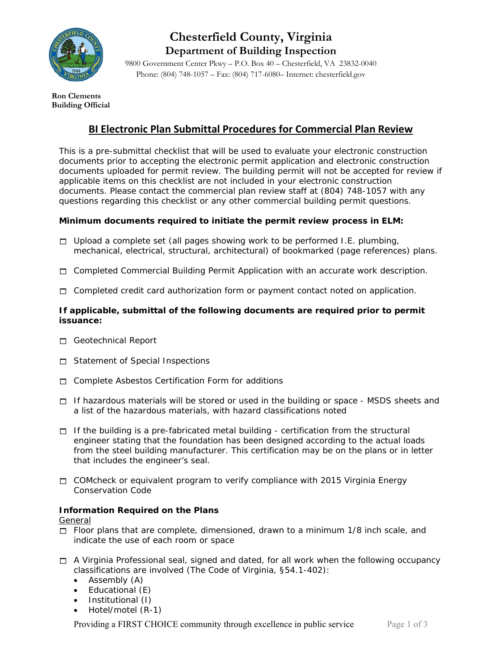

# **Chesterfield County, Virginia Department of Building Inspection**

9800 Government Center Pkwy – P.O. Box 40 – Chesterfield, VA 23832-0040 Phone: (804) 748-1057 – Fax: (804) 717-6080– Internet: chesterfield.gov

**Ron Clements Building Official** 

# **BI Electronic Plan Submittal Procedures for Commercial Plan Review**

This is a pre-submittal checklist that will be used to evaluate your electronic construction documents prior to accepting the electronic permit application and electronic construction documents uploaded for permit review. The building permit will not be accepted for review if applicable items on this checklist are not included in your electronic construction documents. Please contact the commercial plan review staff at (804) 748-1057 with any questions regarding this checklist or any other commercial building permit questions.

## **Minimum documents required to initiate the permit review process in ELM:**

- $\Box$  Upload a complete set (all pages showing work to be performed I.E. plumbing, mechanical, electrical, structural, architectural) of bookmarked (page references) plans.
- $\Box$  Completed Commercial Building Permit Application with an accurate work description.
- $\Box$  Completed credit card authorization form or payment contact noted on application.

#### **If applicable, submittal of the following documents are required prior to permit issuance:**

- Geotechnical Report
- □ Statement of Special Inspections
- $\Box$  Complete Asbestos Certification Form for additions
- $\Box$  If hazardous materials will be stored or used in the building or space MSDS sheets and a list of the hazardous materials, with hazard classifications noted
- $\Box$  If the building is a pre-fabricated metal building certification from the structural engineer stating that the foundation has been designed according to the actual loads from the steel building manufacturer. This certification may be on the plans or in letter that includes the engineer's seal.
- $\Box$  COMcheck or equivalent program to verify compliance with 2015 Virginia Energy Conservation Code

## **Information Required on the Plans**

General

- $\Box$  Floor plans that are complete, dimensioned, drawn to a minimum 1/8 inch scale, and indicate the use of each room or space
- $\Box$  A Virginia Professional seal, signed and dated, for all work when the following occupancy classifications are involved (The Code of Virginia, §54.1-402):
	- $\bullet$  Assembly  $(A)$
	- Educational (E)
	- Institutional (I)
	- Hotel/motel (R-1)

Providing a FIRST CHOICE community through excellence in public service Page 1 of 3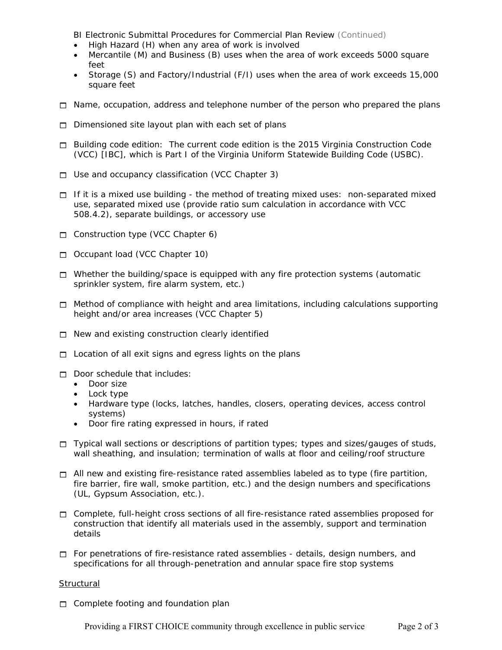BI Electronic Submittal Procedures for Commercial Plan Review (Continued)

- High Hazard (H) when any area of work is involved
- Mercantile (M) and Business (B) uses when the area of work exceeds 5000 square feet
- Storage (S) and Factory/Industrial (F/I) uses when the area of work exceeds 15,000 square feet
- $\Box$  Name, occupation, address and telephone number of the person who prepared the plans
- $\Box$  Dimensioned site layout plan with each set of plans
- Building code edition: The current code edition is the 2015 *Virginia Construction Code*  (VCC) [IBC], which is Part I of the Virginia Uniform Statewide Building Code (USBC).
- $\Box$  Use and occupancy classification (VCC Chapter 3)
- $\Box$  If it is a mixed use building the method of treating mixed uses: non-separated mixed use, separated mixed use (provide ratio sum calculation in accordance with VCC 508.4.2), separate buildings, or accessory use
- Construction type (VCC Chapter 6)
- Occupant load (VCC Chapter 10)
- $\Box$  Whether the building/space is equipped with any fire protection systems (automatic sprinkler system, fire alarm system, etc.)
- $\Box$  Method of compliance with height and area limitations, including calculations supporting height and/or area increases (VCC Chapter 5)
- $\Box$  New and existing construction clearly identified
- $\Box$  Location of all exit signs and egress lights on the plans
- $\Box$  Door schedule that includes:
	- Door size
	- Lock type
	- Hardware type (locks, latches, handles, closers, operating devices, access control systems)
	- Door fire rating expressed in hours, if rated
- $\Box$  Typical wall sections or descriptions of partition types; types and sizes/gauges of studs, wall sheathing, and insulation; termination of walls at floor and ceiling/roof structure
- $\Box$  All new and existing fire-resistance rated assemblies labeled as to type (fire partition, fire barrier, fire wall, smoke partition, etc.) and the design numbers and specifications (UL, Gypsum Association, etc.).
- □ Complete, full-height cross sections of all fire-resistance rated assemblies proposed for construction that identify all materials used in the assembly, support and termination details
- $\Box$  For penetrations of fire-resistance rated assemblies details, design numbers, and specifications for all through-penetration and annular space fire stop systems

#### **Structural**

 $\Box$  Complete footing and foundation plan